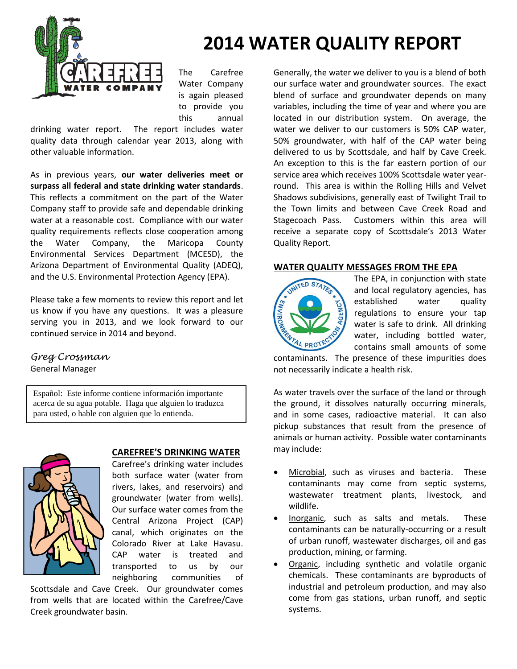

# **2014 WATER QUALITY REPORT**

The Carefree Water Company is again pleased to provide you this annual

drinking water report. The report includes water quality data through calendar year 2013, along with other valuable information.

As in previous years, **our water deliveries meet or surpass all federal and state drinking water standards**. This reflects a commitment on the part of the Water Company staff to provide safe and dependable drinking water at a reasonable cost. Compliance with our water quality requirements reflects close cooperation among the Water Company, the Maricopa County Environmental Services Department (MCESD), the Arizona Department of Environmental Quality (ADEQ), and the U.S. Environmental Protection Agency (EPA).

Please take a few moments to review this report and let us know if you have any questions. It was a pleasure serving you in 2013, and we look forward to our continued service in 2014 and beyond.

*Greg Crossman* General Manager

Español: Este informe contiene información importante acerca de su agua potable. Haga que alguien lo traduzca para usted, o hable con alguien que lo entienda.



#### **CAREFREE'S DRINKING WATER**

Carefree's drinking water includes both surface water (water from rivers, lakes, and reservoirs) and groundwater (water from wells). Our surface water comes from the Central Arizona Project (CAP) canal, which originates on the Colorado River at Lake Havasu. CAP water is treated and transported to us by our neighboring communities of

Scottsdale and Cave Creek. Our groundwater comes from wells that are located within the Carefree/Cave Creek groundwater basin.

Generally, the water we deliver to you is a blend of both our surface water and groundwater sources. The exact blend of surface and groundwater depends on many variables, including the time of year and where you are located in our distribution system. On average, the water we deliver to our customers is 50% CAP water, 50% groundwater, with half of the CAP water being delivered to us by Scottsdale, and half by Cave Creek. An exception to this is the far eastern portion of our service area which receives 100% Scottsdale water yearround. This area is within the Rolling Hills and Velvet Shadows subdivisions, generally east of Twilight Trail to the Town limits and between Cave Creek Road and Stagecoach Pass. Customers within this area will receive a separate copy of Scottsdale's 2013 Water Quality Report.

### **WATER QUALITY MESSAGES FROM THE EPA**



The EPA, in conjunction with state and local regulatory agencies, has established water quality regulations to ensure your tap water is safe to drink. All drinking water, including bottled water, contains small amounts of some

contaminants. The presence of these impurities does not necessarily indicate a health risk.

As water travels over the surface of the land or through the ground, it dissolves naturally occurring minerals, and in some cases, radioactive material. It can also pickup substances that result from the presence of animals or human activity. Possible water contaminants may include:

- Microbial, such as viruses and bacteria. These contaminants may come from septic systems, wastewater treatment plants, livestock, and wildlife.
- Inorganic, such as salts and metals. These contaminants can be naturally-occurring or a result of urban runoff, wastewater discharges, oil and gas production, mining, or farming.
- Organic, including synthetic and volatile organic chemicals. These contaminants are byproducts of industrial and petroleum production, and may also come from gas stations, urban runoff, and septic systems.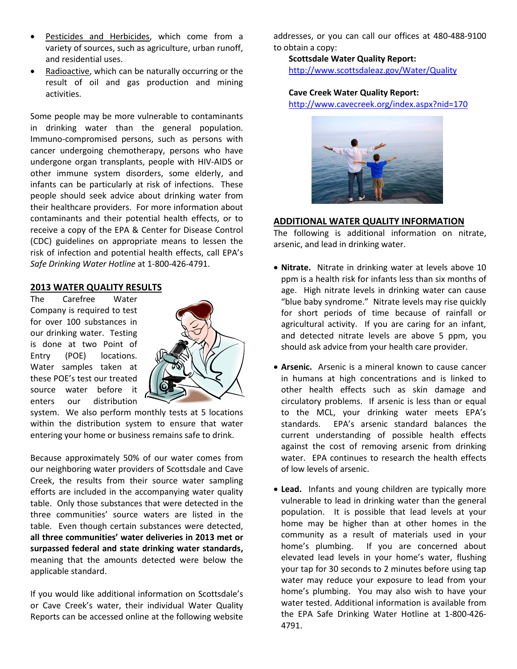- Pesticides and Herbicides, which come from a variety of sources, such as agriculture, urban runoff, and residential uses.
- Radioactive, which can be naturally occurring or the result of oil and gas production and mining activities.

Some people may be more vulnerable to contaminants in drinking water than the general population. Immuno-compromised persons, such as persons with cancer undergoing chemotherapy, persons who have undergone organ transplants, people with HIV-AIDS or other immune system disorders, some elderly, and infants can be particularly at risk of infections. These people should seek advice about drinking water from their healthcare providers. For more information about contaminants and their potential health effects, or to receive a copy of the EPA & Center for Disease Control (CDC) guidelines on appropriate means to lessen the risk of infection and potential health effects, call EPA's *Safe Drinking Water Hotline* at 1-800-426-4791.

#### **2013 WATER QUALITY RESULTS**

The Carefree Water Company is required to test for over 100 substances in our drinking water. Testing is done at two Point of Entry (POE) locations. Water samples taken at these POE's test our treated source water before it enters our distribution



system. We also perform monthly tests at 5 locations within the distribution system to ensure that water entering your home or business remains safe to drink.

Because approximately 50% of our water comes from our neighboring water providers of Scottsdale and Cave Creek, the results from their source water sampling efforts are included in the accompanying water quality table. Only those substances that were detected in the three communities' source waters are listed in the table. Even though certain substances were detected, **all three communities' water deliveries in 2013 met or surpassed federal and state drinking water standards,**  meaning that the amounts detected were below the applicable standard.

If you would like additional information on Scottsdale's or Cave Creek's water, their individual Water Quality Reports can be accessed online at the following website

addresses, or you can call our offices at 480-488-9100 to obtain a copy:

**Scottsdale Water Quality Report:** <http://www.scottsdaleaz.gov/Water/Quality>

#### **Cave Creek Water Quality Report:**

<http://www.cavecreek.org/index.aspx?nid=170>



#### **ADDITIONAL WATER QUALITY INFORMATION**

The following is additional information on nitrate, arsenic, and lead in drinking water.

- **Nitrate.** Nitrate in drinking water at levels above 10 ppm is a health risk for infants less than six months of age. High nitrate levels in drinking water can cause "blue baby syndrome." Nitrate levels may rise quickly for short periods of time because of rainfall or agricultural activity. If you are caring for an infant, and detected nitrate levels are above 5 ppm, you should ask advice from your health care provider.
- **Arsenic.** Arsenic is a mineral known to cause cancer in humans at high concentrations and is linked to other health effects such as skin damage and circulatory problems. If arsenic is less than or equal to the MCL, your drinking water meets EPA's standards. EPA's arsenic standard balances the current understanding of possible health effects against the cost of removing arsenic from drinking water. FPA continues to research the health effects of low levels of arsenic.
- **Lead.** Infants and young children are typically more vulnerable to lead in drinking water than the general population. It is possible that lead levels at your home may be higher than at other homes in the community as a result of materials used in your home's plumbing. If you are concerned about elevated lead levels in your home's water, flushing your tap for 30 seconds to 2 minutes before using tap water may reduce your exposure to lead from your home's plumbing. You may also wish to have your water tested. Additional information is available from the EPA Safe Drinking Water Hotline at 1-800-426- 4791.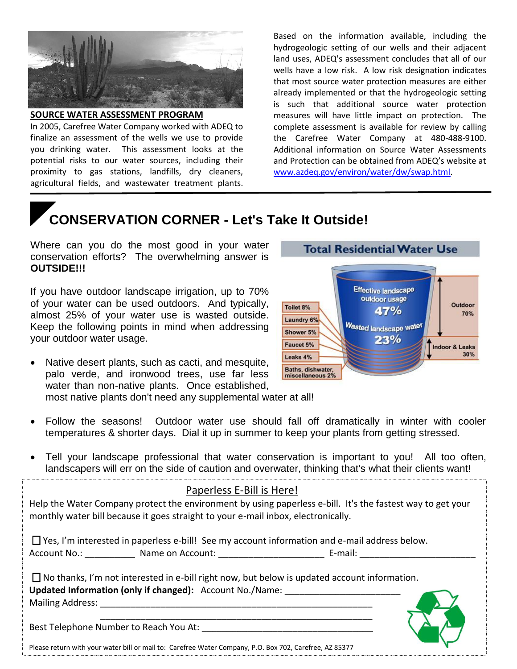

#### **SOURCE WATER ASSESSMENT PROGRAM**

In 2005, Carefree Water Company worked with ADEQ to finalize an assessment of the wells we use to provide you drinking water. This assessment looks at the potential risks to our water sources, including their proximity to gas stations, landfills, dry cleaners, agricultural fields, and wastewater treatment plants.

Based on the information available, including the hydrogeologic setting of our wells and their adjacent land uses, ADEQ's assessment concludes that all of our wells have a low risk. A low risk designation indicates that most source water protection measures are either already implemented or that the hydrogeologic setting is such that additional source water protection measures will have little impact on protection. The complete assessment is available for review by calling the Carefree Water Company at 480-488-9100. Additional information on Source Water Assessments and Protection can be obtained from ADEQ's website at [www.azdeq.gov/environ/water/dw/swap.html.](http://www.azdeq.gov/environ/water/dw/swap.html)

## **CONSERVATION CORNER - Let's Take It Outside!**

Where can you do the most good in your water conservation efforts? The overwhelming answer is **OUTSIDE!!!**

If you have outdoor landscape irrigation, up to 70% of your water can be used outdoors. And typically, almost 25% of your water use is wasted outside. Keep the following points in mind when addressing your outdoor water usage.

 Native desert plants, such as cacti, and mesquite, palo verde, and ironwood trees, use far less water than non-native plants. Once established, most native plants don't need any supplemental water at all!



- Follow the seasons! Outdoor water use should fall off dramatically in winter with cooler temperatures & shorter days. Dial it up in summer to keep your plants from getting stressed.
- Tell your landscape professional that water conservation is important to you! All too often, landscapers will err on the side of caution and overwater, thinking that's what their clients want!

|                                        | Paperless E-Bill is Here!                                                                            |                                                                                                            |  |
|----------------------------------------|------------------------------------------------------------------------------------------------------|------------------------------------------------------------------------------------------------------------|--|
|                                        | monthly water bill because it goes straight to your e-mail inbox, electronically.                    | Help the Water Company protect the environment by using paperless e-bill. It's the fastest way to get your |  |
|                                        | $\Box$ Yes, I'm interested in paperless e-bill! See my account information and e-mail address below. |                                                                                                            |  |
|                                        | Account No.: Communication of Account: Communication of E-mail:                                      |                                                                                                            |  |
|                                        | $\Box$ No thanks, I'm not interested in e-bill right now, but below is updated account information.  |                                                                                                            |  |
|                                        | Updated Information (only if changed): Account No./Name:                                             |                                                                                                            |  |
| <b>Mailing Address:</b>                |                                                                                                      |                                                                                                            |  |
|                                        |                                                                                                      |                                                                                                            |  |
| Best Telephone Number to Reach You At: |                                                                                                      |                                                                                                            |  |

Please return with your water bill or mail to: Carefree Water Company, P.O. Box 702, Carefree, AZ 85377